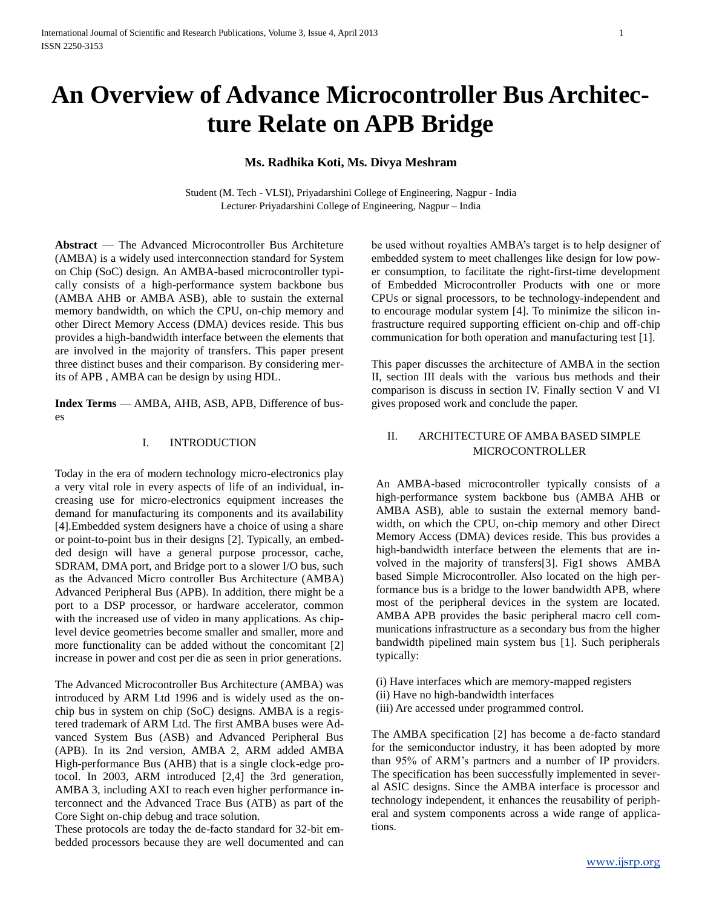# **An Overview of Advance Microcontroller Bus Architecture Relate on APB Bridge**

# **Ms. Radhika Koti, Ms. Divya Meshram**

Student (M. Tech - VLSI), Priyadarshini College of Engineering, Nagpur - India Lecturer, Priyadarshini College of Engineering, Nagpur – India

**Abstract** — The Advanced Microcontroller Bus Architeture (AMBA) is a widely used interconnection standard for System on Chip (SoC) design. An AMBA-based microcontroller typically consists of a high-performance system backbone bus (AMBA AHB or AMBA ASB), able to sustain the external memory bandwidth, on which the CPU, on-chip memory and other Direct Memory Access (DMA) devices reside. This bus provides a high-bandwidth interface between the elements that are involved in the majority of transfers. This paper present three distinct buses and their comparison. By considering merits of APB , AMBA can be design by using HDL.

**Index Terms** — AMBA, AHB, ASB, APB, Difference of buses

## I. INTRODUCTION

Today in the era of modern technology micro-electronics play a very vital role in every aspects of life of an individual, increasing use for micro-electronics equipment increases the demand for manufacturing its components and its availability [4].Embedded system designers have a choice of using a share or point-to-point bus in their designs [2]. Typically, an embedded design will have a general purpose processor, cache, SDRAM, DMA port, and Bridge port to a slower I/O bus, such as the Advanced Micro controller Bus Architecture (AMBA) Advanced Peripheral Bus (APB). In addition, there might be a port to a DSP processor, or hardware accelerator, common with the increased use of video in many applications. As chiplevel device geometries become smaller and smaller, more and more functionality can be added without the concomitant [2] increase in power and cost per die as seen in prior generations.

The Advanced Microcontroller Bus Architecture (AMBA) was introduced by ARM Ltd 1996 and is widely used as the onchip bus in system on chip (SoC) designs. AMBA is a registered trademark of ARM Ltd. The first AMBA buses were Advanced System Bus (ASB) and Advanced Peripheral Bus (APB). In its 2nd version, AMBA 2, ARM added AMBA High-performance Bus (AHB) that is a single clock-edge protocol. In 2003, ARM introduced [2,4] the 3rd generation, AMBA 3, including AXI to reach even higher performance interconnect and the Advanced Trace Bus (ATB) as part of the Core Sight on-chip debug and trace solution.

These protocols are today the de-facto standard for 32-bit embedded processors because they are well documented and can be used without royalties AMBA's target is to help designer of embedded system to meet challenges like design for low power consumption, to facilitate the right-first-time development of Embedded Microcontroller Products with one or more CPUs or signal processors, to be technology-independent and to encourage modular system [4]. To minimize the silicon infrastructure required supporting efficient on-chip and off-chip communication for both operation and manufacturing test [1].

This paper discusses the architecture of AMBA in the section II, section III deals with the various bus methods and their comparison is discuss in section IV. Finally section V and VI gives proposed work and conclude the paper.

# II. ARCHITECTURE OF AMBA BASED SIMPLE MICROCONTROLLER

An AMBA-based microcontroller typically consists of a high-performance system backbone bus (AMBA AHB or AMBA ASB), able to sustain the external memory bandwidth, on which the CPU, on-chip memory and other Direct Memory Access (DMA) devices reside. This bus provides a high-bandwidth interface between the elements that are involved in the majority of transfers[3]. Fig1 shows AMBA based Simple Microcontroller. Also located on the high performance bus is a bridge to the lower bandwidth APB, where most of the peripheral devices in the system are located. AMBA APB provides the basic peripheral macro cell communications infrastructure as a secondary bus from the higher bandwidth pipelined main system bus [1]. Such peripherals typically:

- (i) Have interfaces which are memory-mapped registers
- (ii) Have no high-bandwidth interfaces
- (iii) Are accessed under programmed control.

The AMBA specification [2] has become a de-facto standard for the semiconductor industry, it has been adopted by more than 95% of ARM's partners and a number of IP providers. The specification has been successfully implemented in several ASIC designs. Since the AMBA interface is processor and technology independent, it enhances the reusability of peripheral and system components across a wide range of applications.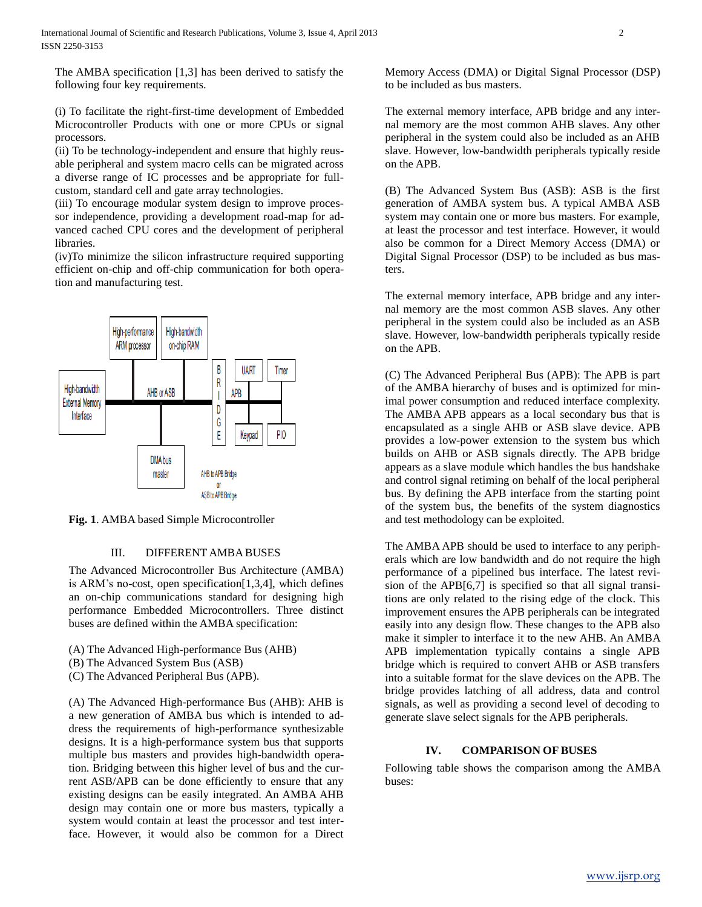The AMBA specification [1,3] has been derived to satisfy the following four key requirements.

(i) To facilitate the right-first-time development of Embedded Microcontroller Products with one or more CPUs or signal processors.

(ii) To be technology-independent and ensure that highly reusable peripheral and system macro cells can be migrated across a diverse range of IC processes and be appropriate for fullcustom, standard cell and gate array technologies.

(iii) To encourage modular system design to improve processor independence, providing a development road-map for advanced cached CPU cores and the development of peripheral **libraries** 

(iv)To minimize the silicon infrastructure required supporting efficient on-chip and off-chip communication for both operation and manufacturing test.



**Fig. 1**. AMBA based Simple Microcontroller

### III. DIFFERENT AMBABUSES

The Advanced Microcontroller Bus Architecture (AMBA) is ARM's no-cost, open specification[1,3,4], which defines an on-chip communications standard for designing high performance Embedded Microcontrollers. Three distinct buses are defined within the AMBA specification:

- (A) The Advanced High-performance Bus (AHB)
- (B) The Advanced System Bus (ASB)
- (C) The Advanced Peripheral Bus (APB).

(A) The Advanced High-performance Bus (AHB): AHB is a new generation of AMBA bus which is intended to address the requirements of high-performance synthesizable designs. It is a high-performance system bus that supports multiple bus masters and provides high-bandwidth operation. Bridging between this higher level of bus and the current ASB/APB can be done efficiently to ensure that any existing designs can be easily integrated. An AMBA AHB design may contain one or more bus masters, typically a system would contain at least the processor and test interface. However, it would also be common for a Direct

Memory Access (DMA) or Digital Signal Processor (DSP) to be included as bus masters.

The external memory interface, APB bridge and any internal memory are the most common AHB slaves. Any other peripheral in the system could also be included as an AHB slave. However, low-bandwidth peripherals typically reside on the APB.

(B) The Advanced System Bus (ASB): ASB is the first generation of AMBA system bus. A typical AMBA ASB system may contain one or more bus masters. For example, at least the processor and test interface. However, it would also be common for a Direct Memory Access (DMA) or Digital Signal Processor (DSP) to be included as bus masters.

The external memory interface, APB bridge and any internal memory are the most common ASB slaves. Any other peripheral in the system could also be included as an ASB slave. However, low-bandwidth peripherals typically reside on the APB.

(C) The Advanced Peripheral Bus (APB): The APB is part of the AMBA hierarchy of buses and is optimized for minimal power consumption and reduced interface complexity. The AMBA APB appears as a local secondary bus that is encapsulated as a single AHB or ASB slave device. APB provides a low-power extension to the system bus which builds on AHB or ASB signals directly. The APB bridge appears as a slave module which handles the bus handshake and control signal retiming on behalf of the local peripheral bus. By defining the APB interface from the starting point of the system bus, the benefits of the system diagnostics and test methodology can be exploited.

The AMBA APB should be used to interface to any peripherals which are low bandwidth and do not require the high performance of a pipelined bus interface. The latest revision of the APB[6,7] is specified so that all signal transitions are only related to the rising edge of the clock. This improvement ensures the APB peripherals can be integrated easily into any design flow. These changes to the APB also make it simpler to interface it to the new AHB. An AMBA APB implementation typically contains a single APB bridge which is required to convert AHB or ASB transfers into a suitable format for the slave devices on the APB. The bridge provides latching of all address, data and control signals, as well as providing a second level of decoding to generate slave select signals for the APB peripherals.

# **IV. COMPARISON OF BUSES**

Following table shows the comparison among the AMBA buses: